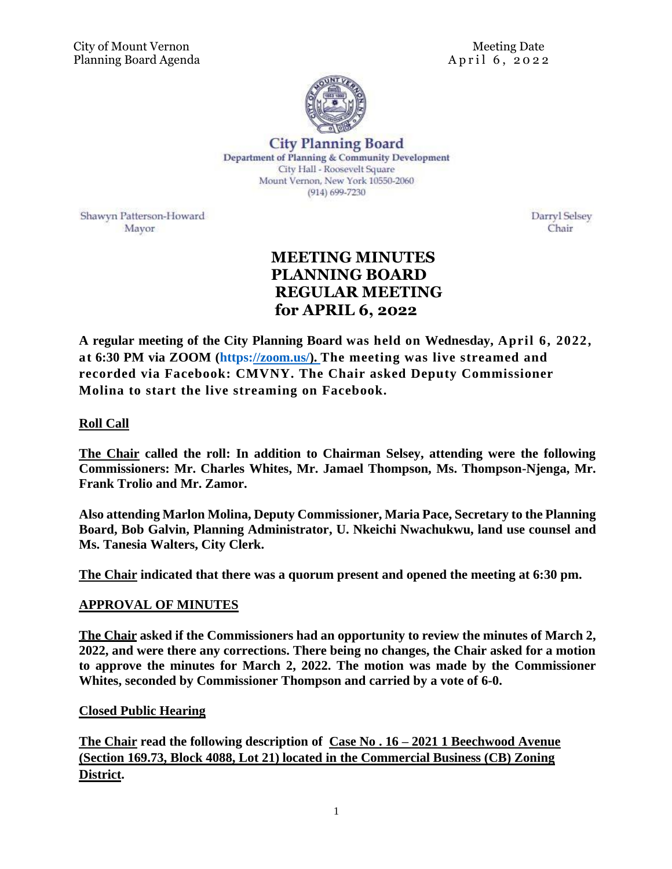

**City Planning Board** Department of Planning & Community Development City Hall - Roosevelt Square Mount Vernon, New York 10550-2060  $(914) 699 - 7230$ 

Shawyn Patterson-Howard Mayor

Darryl Selsey Chair

# **MEETING MINUTES PLANNING BOARD REGULAR MEETING for APRIL 6, 2022**

**A regular meeting of the City Planning Board was held on Wednesday, April 6, 2022, at 6:30 PM via ZOOM (https[://zoom.us/\). The meeting was live streamed and](https://zoom.us/)  [recorded via Facebook: CMVNY. The Chair asked Deputy Commissioner](https://zoom.us/)  [Molina to start the live streaming on Facebook.](https://zoom.us/)** 

## **Roll Call**

**The Chair called the roll: In addition to Chairman Selsey, attending were the following Commissioners: Mr. Charles Whites, Mr. Jamael Thompson, Ms. Thompson-Njenga, Mr. Frank Trolio and Mr. Zamor.** 

**Also attending Marlon Molina, Deputy Commissioner, Maria Pace, Secretary to the Planning Board, Bob Galvin, Planning Administrator, U. Nkeichi Nwachukwu, land use counsel and Ms. Tanesia Walters, City Clerk.**

**The Chair indicated that there was a quorum present and opened the meeting at 6:30 pm.** 

### **APPROVAL OF MINUTES**

**The Chair asked if the Commissioners had an opportunity to review the minutes of March 2, 2022, and were there any corrections. There being no changes, the Chair asked for a motion to approve the minutes for March 2, 2022. The motion was made by the Commissioner Whites, seconded by Commissioner Thompson and carried by a vote of 6-0.** 

### **Closed Public Hearing**

**The Chair read the following description of Case No . 16 – 2021 1 Beechwood Avenue (Section 169.73, Block 4088, Lot 21) located in the Commercial Business (CB) Zoning District.**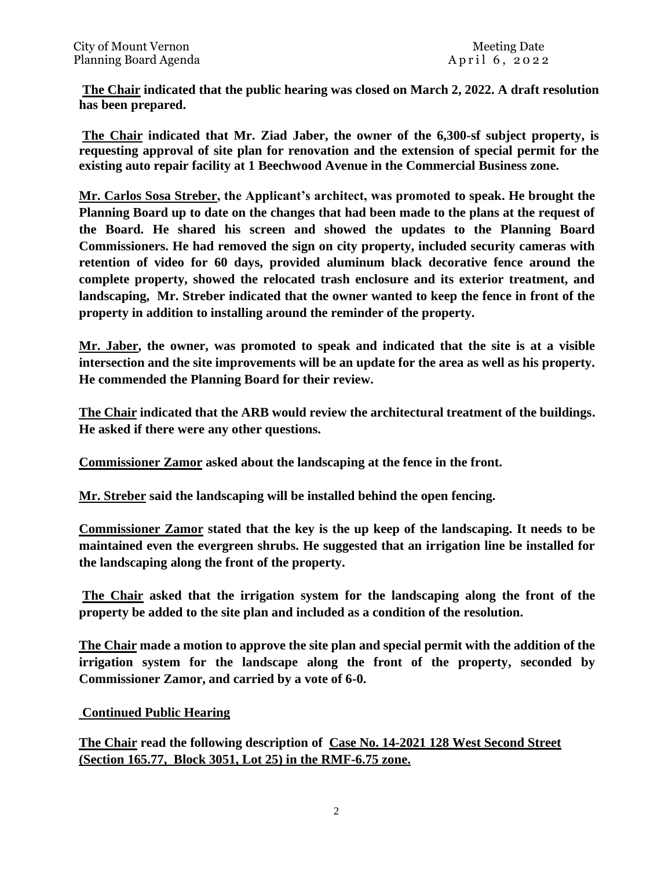**The Chair indicated that the public hearing was closed on March 2, 2022. A draft resolution has been prepared.** 

**The Chair indicated that Mr. Ziad Jaber, the owner of the 6,300-sf subject property, is requesting approval of site plan for renovation and the extension of special permit for the existing auto repair facility at 1 Beechwood Avenue in the Commercial Business zone.** 

**Mr. Carlos Sosa Streber, the Applicant's architect, was promoted to speak. He brought the Planning Board up to date on the changes that had been made to the plans at the request of the Board. He shared his screen and showed the updates to the Planning Board Commissioners. He had removed the sign on city property, included security cameras with retention of video for 60 days, provided aluminum black decorative fence around the complete property, showed the relocated trash enclosure and its exterior treatment, and landscaping, Mr. Streber indicated that the owner wanted to keep the fence in front of the property in addition to installing around the reminder of the property.** 

**Mr. Jaber, the owner, was promoted to speak and indicated that the site is at a visible intersection and the site improvements will be an update for the area as well as his property. He commended the Planning Board for their review.** 

**The Chair indicated that the ARB would review the architectural treatment of the buildings. He asked if there were any other questions.** 

**Commissioner Zamor asked about the landscaping at the fence in the front.** 

**Mr. Streber said the landscaping will be installed behind the open fencing.** 

**Commissioner Zamor stated that the key is the up keep of the landscaping. It needs to be maintained even the evergreen shrubs. He suggested that an irrigation line be installed for the landscaping along the front of the property.** 

**The Chair asked that the irrigation system for the landscaping along the front of the property be added to the site plan and included as a condition of the resolution.** 

**The Chair made a motion to approve the site plan and special permit with the addition of the irrigation system for the landscape along the front of the property, seconded by Commissioner Zamor, and carried by a vote of 6-0.** 

### **Continued Public Hearing**

**The Chair read the following description of Case No. 14-2021 128 West Second Street (Section 165.77, Block 3051, Lot 25) in the RMF-6.75 zone.**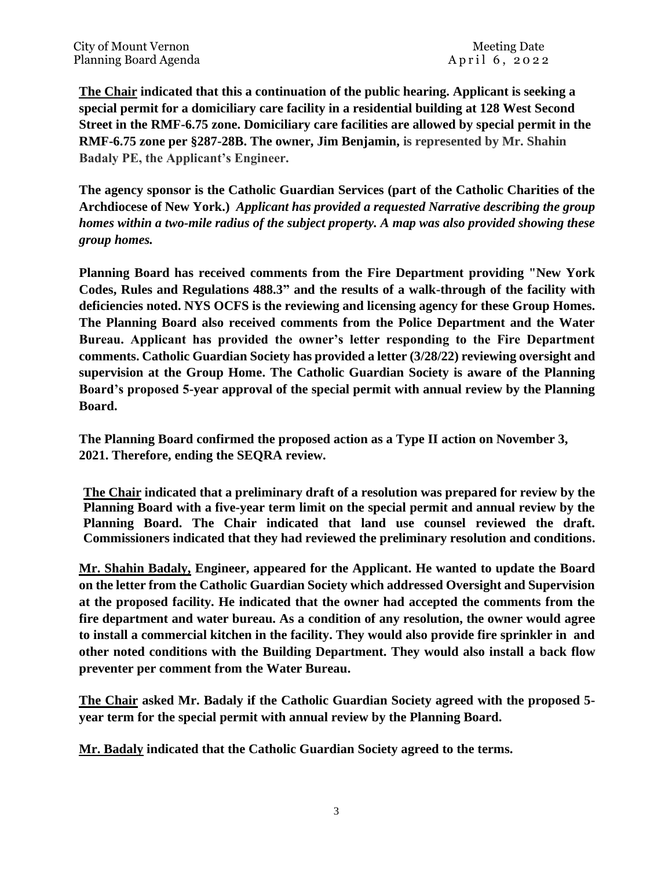**The Chair indicated that this a continuation of the public hearing. Applicant is seeking a special permit for a domiciliary care facility in a residential building at 128 West Second Street in the RMF-6.75 zone. Domiciliary care facilities are allowed by special permit in the RMF-6.75 zone per §287-28B. The owner, Jim Benjamin, is represented by Mr. Shahin Badaly PE, the Applicant's Engineer.** 

**The agency sponsor is the Catholic Guardian Services (part of the Catholic Charities of the Archdiocese of New York.)** *Applicant has provided a requested Narrative describing the group homes within a two-mile radius of the subject property. A map was also provided showing these group homes.* 

**Planning Board has received comments from the Fire Department providing "New York Codes, Rules and Regulations 488.3" and the results of a walk-through of the facility with deficiencies noted. NYS OCFS is the reviewing and licensing agency for these Group Homes. The Planning Board also received comments from the Police Department and the Water Bureau. Applicant has provided the owner's letter responding to the Fire Department comments. Catholic Guardian Society has provided a letter (3/28/22) reviewing oversight and supervision at the Group Home. The Catholic Guardian Society is aware of the Planning Board's proposed 5-year approval of the special permit with annual review by the Planning Board.** 

**The Planning Board confirmed the proposed action as a Type II action on November 3, 2021. Therefore, ending the SEQRA review.** 

**The Chair indicated that a preliminary draft of a resolution was prepared for review by the Planning Board with a five-year term limit on the special permit and annual review by the Planning Board. The Chair indicated that land use counsel reviewed the draft. Commissioners indicated that they had reviewed the preliminary resolution and conditions.** 

**Mr. Shahin Badaly, Engineer, appeared for the Applicant. He wanted to update the Board on the letter from the Catholic Guardian Society which addressed Oversight and Supervision at the proposed facility. He indicated that the owner had accepted the comments from the fire department and water bureau. As a condition of any resolution, the owner would agree to install a commercial kitchen in the facility. They would also provide fire sprinkler in and other noted conditions with the Building Department. They would also install a back flow preventer per comment from the Water Bureau.** 

**The Chair asked Mr. Badaly if the Catholic Guardian Society agreed with the proposed 5 year term for the special permit with annual review by the Planning Board.** 

**Mr. Badaly indicated that the Catholic Guardian Society agreed to the terms.**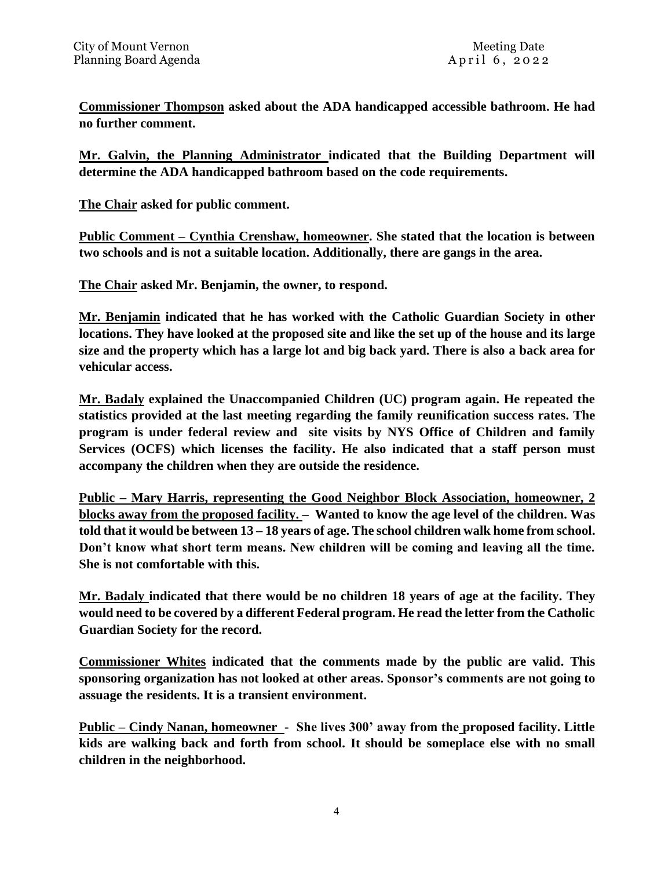**Commissioner Thompson asked about the ADA handicapped accessible bathroom. He had no further comment.** 

**Mr. Galvin, the Planning Administrator indicated that the Building Department will determine the ADA handicapped bathroom based on the code requirements.** 

**The Chair asked for public comment.** 

**Public Comment – Cynthia Crenshaw, homeowner. She stated that the location is between two schools and is not a suitable location. Additionally, there are gangs in the area.** 

**The Chair asked Mr. Benjamin, the owner, to respond.** 

**Mr. Benjamin indicated that he has worked with the Catholic Guardian Society in other locations. They have looked at the proposed site and like the set up of the house and its large size and the property which has a large lot and big back yard. There is also a back area for vehicular access.** 

**Mr. Badaly explained the Unaccompanied Children (UC) program again. He repeated the statistics provided at the last meeting regarding the family reunification success rates. The program is under federal review and site visits by NYS Office of Children and family Services (OCFS) which licenses the facility. He also indicated that a staff person must accompany the children when they are outside the residence.** 

**Public – Mary Harris, representing the Good Neighbor Block Association, homeowner, 2 blocks away from the proposed facility. – Wanted to know the age level of the children. Was told that it would be between 13 – 18 years of age. The school children walk home from school. Don't know what short term means. New children will be coming and leaving all the time. She is not comfortable with this.** 

**Mr. Badaly indicated that there would be no children 18 years of age at the facility. They would need to be covered by a different Federal program. He read the letter from the Catholic Guardian Society for the record.** 

**Commissioner Whites indicated that the comments made by the public are valid. This sponsoring organization has not looked at other areas. Sponsor's comments are not going to assuage the residents. It is a transient environment.** 

**Public – Cindy Nanan, homeowner - She lives 300' away from the proposed facility. Little kids are walking back and forth from school. It should be someplace else with no small children in the neighborhood.**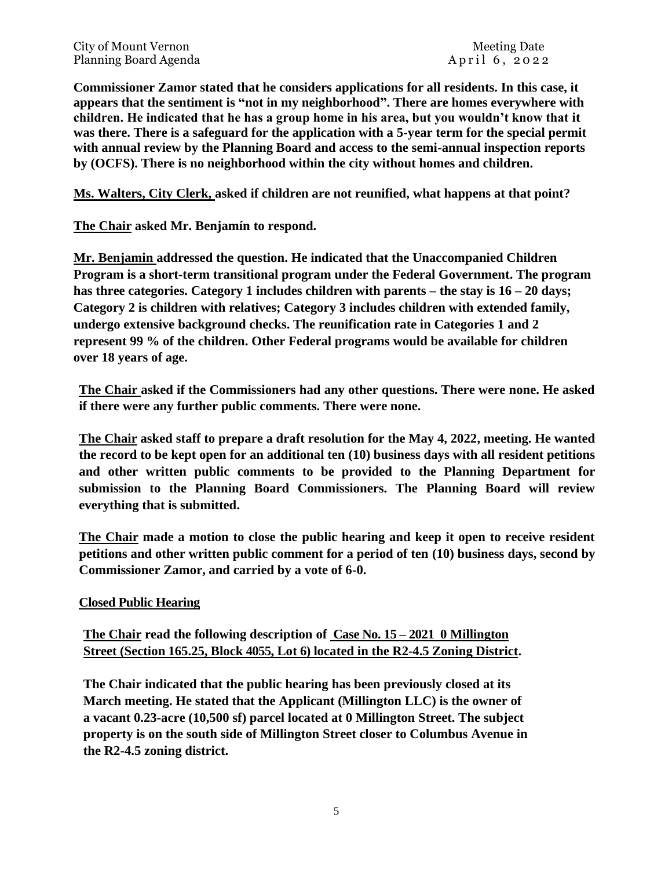City of Mount Vernon Needle Allen Needle Allen Needle Allen Needle Date Planning Board Agenda A pril 6, 2022

**Commissioner Zamor stated that he considers applications for all residents. In this case, it appears that the sentiment is "not in my neighborhood". There are homes everywhere with children. He indicated that he has a group home in his area, but you wouldn't know that it was there. There is a safeguard for the application with a 5-year term for the special permit with annual review by the Planning Board and access to the semi-annual inspection reports by (OCFS). There is no neighborhood within the city without homes and children.** 

**Ms. Walters, City Clerk, asked if children are not reunified, what happens at that point?** 

**The Chair asked Mr. Benjamín to respond.** 

**Mr. Benjamin addressed the question. He indicated that the Unaccompanied Children Program is a short-term transitional program under the Federal Government. The program has three categories. Category 1 includes children with parents – the stay is 16 – 20 days; Category 2 is children with relatives; Category 3 includes children with extended family, undergo extensive background checks. The reunification rate in Categories 1 and 2 represent 99 % of the children. Other Federal programs would be available for children over 18 years of age.** 

**The Chair asked if the Commissioners had any other questions. There were none. He asked if there were any further public comments. There were none.**

**The Chair asked staff to prepare a draft resolution for the May 4, 2022, meeting. He wanted the record to be kept open for an additional ten (10) business days with all resident petitions and other written public comments to be provided to the Planning Department for submission to the Planning Board Commissioners. The Planning Board will review everything that is submitted.** 

**The Chair made a motion to close the public hearing and keep it open to receive resident petitions and other written public comment for a period of ten (10) business days, second by Commissioner Zamor, and carried by a vote of 6-0.** 

### **Closed Public Hearing**

**The Chair read the following description of Case No. 15 – 2021 0 Millington Street (Section 165.25, Block 4055, Lot 6) located in the R2-4.5 Zoning District.**

**The Chair indicated that the public hearing has been previously closed at its March meeting. He stated that the Applicant (Millington LLC) is the owner of a vacant 0.23-acre (10,500 sf) parcel located at 0 Millington Street. The subject property is on the south side of Millington Street closer to Columbus Avenue in the R2-4.5 zoning district.**